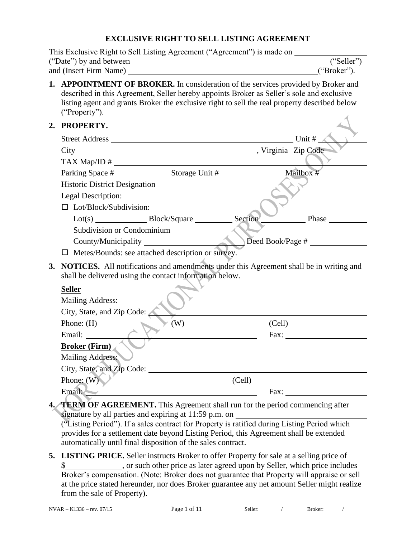#### **EXCLUSIVE RIGHT TO SELL LISTING AGREEMENT**

|    | This Exclusive Right to Sell Listing Agreement ("Agreement") is made on                                                                                                                                                                                                                          |                             |
|----|--------------------------------------------------------------------------------------------------------------------------------------------------------------------------------------------------------------------------------------------------------------------------------------------------|-----------------------------|
|    | ("Date") by and between                                                                                                                                                                                                                                                                          | ("Seller")                  |
|    | and (Insert Firm Name)                                                                                                                                                                                                                                                                           | $"Broker"$ ).               |
|    | 1. APPOINTMENT OF BROKER. In consideration of the services provided by Broker and<br>described in this Agreement, Seller hereby appoints Broker as Seller's sole and exclusive<br>listing agent and grants Broker the exclusive right to sell the real property described below<br>("Property"). |                             |
|    | 2. PROPERTY.                                                                                                                                                                                                                                                                                     |                             |
|    |                                                                                                                                                                                                                                                                                                  |                             |
|    |                                                                                                                                                                                                                                                                                                  |                             |
|    | $\text{TAX Map} / \text{ID} \#$                                                                                                                                                                                                                                                                  |                             |
|    | Parking Space # Storage Unit #                                                                                                                                                                                                                                                                   | Mailbox #                   |
|    |                                                                                                                                                                                                                                                                                                  |                             |
|    | Legal Description:                                                                                                                                                                                                                                                                               |                             |
|    | $\Box$ Lot/Block/Subdivision:                                                                                                                                                                                                                                                                    |                             |
|    |                                                                                                                                                                                                                                                                                                  | <b>Exercise</b> Phase Phase |
|    | Subdivision or Condominium $\overline{\phantom{a}}$                                                                                                                                                                                                                                              |                             |
|    | County/Municipality                                                                                                                                                                                                                                                                              | Deed Book/Page #            |
|    | $\Box$ Metes/Bounds: see attached description or survey.                                                                                                                                                                                                                                         |                             |
| 3. | NOTICES. All notifications and amendments under this Agreement shall be in writing and<br>shall be delivered using the contact information below.                                                                                                                                                |                             |
|    | <b>Seller</b>                                                                                                                                                                                                                                                                                    |                             |
|    | Mailing Address:                                                                                                                                                                                                                                                                                 |                             |
|    | City, State, and Zip Code:                                                                                                                                                                                                                                                                       |                             |
|    | Phone: $(H)$                                                                                                                                                                                                                                                                                     | $(W)$ (Cell) (Cell)         |
|    | Email: 1                                                                                                                                                                                                                                                                                         | Fax: $\qquad \qquad$        |
|    | <b>Broker (Firm)</b>                                                                                                                                                                                                                                                                             |                             |
|    | Mailing Address:<br><u> 1980 - Johann Barn, mars ann an t-Amhain Aonaich an t-Aonaich an t-Aonaich ann an t-Aonaich ann an t-Aonaich</u>                                                                                                                                                         |                             |
|    |                                                                                                                                                                                                                                                                                                  |                             |
|    | Phone: $(W)$ (Cell) (Cell)                                                                                                                                                                                                                                                                       |                             |
|    | Email:                                                                                                                                                                                                                                                                                           | Fax:                        |
|    | 4. TERM OF AGREEMENT. This Agreement shall run for the period commencing after                                                                                                                                                                                                                   |                             |

signature by all parties and expiring at 11:59 p.m. on ("Listing Period"). If a sales contract for Property is ratified during Listing Period which provides for a settlement date beyond Listing Period, this Agreement shall be extended automatically until final disposition of the sales contract.

**5. LISTING PRICE.** Seller instructs Broker to offer Property for sale at a selling price of \$ Broker's compensation. (Note: Broker does not guarantee that Property will appraise or sell at the price stated hereunder, nor does Broker guarantee any net amount Seller might realize from the sale of Property).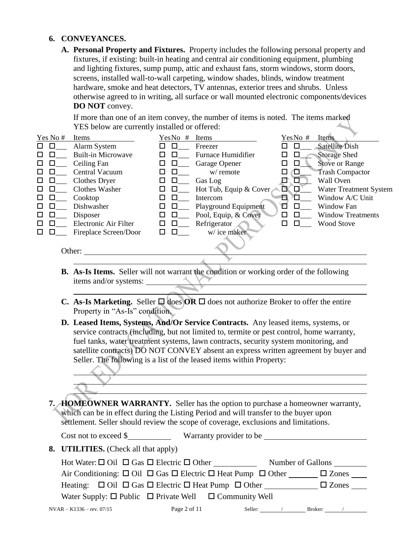#### **6. CONVEYANCES.**

**A. Personal Property and Fixtures.** Property includes the following personal property and fixtures, if existing: built-in heating and central air conditioning equipment, plumbing and lighting fixtures, sump pump, attic and exhaust fans, storm windows, storm doors, screens, installed wall-to-wall carpeting, window shades, blinds, window treatment hardware, smoke and heat detectors, TV antennas, exterior trees and shrubs. Unless otherwise agreed to in writing, all surface or wall mounted electronic components/devices **DO NOT** convey.

If more than one of an item convey, the number of items is noted. The items marked YES below are currently installed or offered:

| Yes No #<br>□<br>□<br>□<br>ப<br>□<br>$\Box$<br>□<br>□<br>$\Box$<br>□<br>□<br>$\Box$<br>$\Box$<br>□<br>□<br>$\Box$<br>□<br>◻<br>□<br>$\Box$<br>□<br>П                        |  | Items<br>Alarm System<br><b>Built-in Microwave</b><br>Ceiling Fan<br>Central Vacuum<br>Clothes Dryer<br>Clothes Washer<br>Cooktop<br>Dishwasher<br>Disposer<br>Electronic Air Filter<br>Fireplace Screen/Door | $YesNo$ # Items<br>$\Box$ $\Box$<br>$\Box$<br>□<br>$\Box$<br>$\Box$<br>$\Box$<br>□<br>$\Box$<br>$\Box$<br>□<br>□<br>$\Box$<br>$\Box$<br>□<br>$\Box$<br>$\Box$<br>$\Box$<br>$\Box$<br>$\Box$<br>$\Box$<br>$\Box$ | Freezer<br>Furnace Humidifier<br>Garage Opener<br>w/remote<br>Gas Log<br>Hot Tub, Equip & Cover<br>Intercom<br>Playground Equipment<br>Pool, Equip, & Cover<br>Refrigerator<br>w/ice maker                                                                                                                                                       | YesNo#<br>$\Box$<br>ப<br>□<br>□<br>О,<br>□<br>□<br>$\Box$<br>Ø<br>□<br>Ō<br>D<br>Ь<br>П<br>d<br>□<br>$\Box$<br>$\Box$<br>□<br>$\Box$ | Items<br><b>Satellite Dish</b><br><b>Storage Shed</b><br><b>Stove or Range</b><br><b>Trash Compactor</b><br>Wall Oven<br>Water Treatment System<br>Window A/C Unit<br>Window Fan<br><b>Window Treatments</b><br><b>Wood Stove</b> |  |  |
|-----------------------------------------------------------------------------------------------------------------------------------------------------------------------------|--|---------------------------------------------------------------------------------------------------------------------------------------------------------------------------------------------------------------|-----------------------------------------------------------------------------------------------------------------------------------------------------------------------------------------------------------------|--------------------------------------------------------------------------------------------------------------------------------------------------------------------------------------------------------------------------------------------------------------------------------------------------------------------------------------------------|--------------------------------------------------------------------------------------------------------------------------------------|-----------------------------------------------------------------------------------------------------------------------------------------------------------------------------------------------------------------------------------|--|--|
|                                                                                                                                                                             |  | Other:                                                                                                                                                                                                        |                                                                                                                                                                                                                 |                                                                                                                                                                                                                                                                                                                                                  |                                                                                                                                      |                                                                                                                                                                                                                                   |  |  |
|                                                                                                                                                                             |  |                                                                                                                                                                                                               |                                                                                                                                                                                                                 |                                                                                                                                                                                                                                                                                                                                                  |                                                                                                                                      |                                                                                                                                                                                                                                   |  |  |
|                                                                                                                                                                             |  | B. As-Is Items. Seller will not warrant the condition or working order of the following<br>items and/or systems:                                                                                              |                                                                                                                                                                                                                 |                                                                                                                                                                                                                                                                                                                                                  |                                                                                                                                      |                                                                                                                                                                                                                                   |  |  |
|                                                                                                                                                                             |  |                                                                                                                                                                                                               |                                                                                                                                                                                                                 |                                                                                                                                                                                                                                                                                                                                                  |                                                                                                                                      |                                                                                                                                                                                                                                   |  |  |
|                                                                                                                                                                             |  | C. As-Is Marketing. Seller $\Box$ does OR $\Box$ does not authorize Broker to offer the entire<br>Property in "As-Is" condition.                                                                              |                                                                                                                                                                                                                 |                                                                                                                                                                                                                                                                                                                                                  |                                                                                                                                      |                                                                                                                                                                                                                                   |  |  |
|                                                                                                                                                                             |  | D. Leased Items, Systems, And/Or Service Contracts. Any leased items, systems, or<br>7. HOMEOWNER WARRANTY. Seller has the option to purchase a homeowner warranty,                                           |                                                                                                                                                                                                                 | service contracts (including, but not limited to, termite or pest control, home warranty,<br>fuel tanks, water treatment systems, lawn contracts, security system monitoring, and<br>satellite contracts) DO NOT CONVEY absent an express written agreement by buyer and<br>Seller. The following is a list of the leased items within Property: |                                                                                                                                      |                                                                                                                                                                                                                                   |  |  |
| which can be in effect during the Listing Period and will transfer to the buyer upon<br>settlement. Seller should review the scope of coverage, exclusions and limitations. |  |                                                                                                                                                                                                               |                                                                                                                                                                                                                 |                                                                                                                                                                                                                                                                                                                                                  |                                                                                                                                      |                                                                                                                                                                                                                                   |  |  |
|                                                                                                                                                                             |  |                                                                                                                                                                                                               |                                                                                                                                                                                                                 |                                                                                                                                                                                                                                                                                                                                                  |                                                                                                                                      |                                                                                                                                                                                                                                   |  |  |
|                                                                                                                                                                             |  | <b>8. UTILITIES.</b> (Check all that apply)                                                                                                                                                                   |                                                                                                                                                                                                                 |                                                                                                                                                                                                                                                                                                                                                  |                                                                                                                                      |                                                                                                                                                                                                                                   |  |  |
|                                                                                                                                                                             |  |                                                                                                                                                                                                               |                                                                                                                                                                                                                 |                                                                                                                                                                                                                                                                                                                                                  |                                                                                                                                      |                                                                                                                                                                                                                                   |  |  |
|                                                                                                                                                                             |  | Air Conditioning: □ Oil □ Gas □ Electric □ Heat Pump □ Other _____ □ Zones ___                                                                                                                                |                                                                                                                                                                                                                 |                                                                                                                                                                                                                                                                                                                                                  |                                                                                                                                      |                                                                                                                                                                                                                                   |  |  |
|                                                                                                                                                                             |  | Heating: $\Box$ Oil $\Box$ Gas $\Box$ Electric $\Box$ Heat Pump $\Box$ Other $\Box$ $\Box$ Zones $\Box$                                                                                                       |                                                                                                                                                                                                                 |                                                                                                                                                                                                                                                                                                                                                  |                                                                                                                                      |                                                                                                                                                                                                                                   |  |  |

| Water Supply: $\Box$ Public $\Box$ Private Well $\Box$ Community Well |  |  |  |
|-----------------------------------------------------------------------|--|--|--|
|-----------------------------------------------------------------------|--|--|--|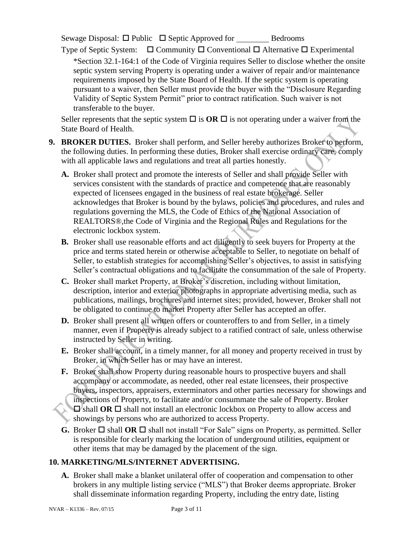Sewage Disposal:  $\Box$  Public  $\Box$  Septic Approved for Bedrooms

Type of Septic System:  $\Box$  Community  $\Box$  Conventional  $\Box$  Alternative  $\Box$  Experimental

\*Section 32.1-164:1 of the Code of Virginia requires Seller to disclose whether the onsite septic system serving Property is operating under a waiver of repair and/or maintenance requirements imposed by the State Board of Health. If the septic system is operating pursuant to a waiver, then Seller must provide the buyer with the "Disclosure Regarding Validity of Septic System Permit" prior to contract ratification. Such waiver is not transferable to the buyer.

Seller represents that the septic system  $\Box$  is **OR**  $\Box$  is not operating under a waiver from the State Board of Health.

- **9. BROKER DUTIES.** Broker shall perform, and Seller hereby authorizes Broker to perform, the following duties. In performing these duties, Broker shall exercise ordinary care, comply with all applicable laws and regulations and treat all parties honestly.
	- **A.** Broker shall protect and promote the interests of Seller and shall provide Seller with services consistent with the standards of practice and competence that are reasonably expected of licensees engaged in the business of real estate brokerage. Seller acknowledges that Broker is bound by the bylaws, policies and procedures, and rules and regulations governing the MLS, the Code of Ethics of the National Association of REALTORS®,the Code of Virginia and the Regional Rules and Regulations for the electronic lockbox system.
	- **B.** Broker shall use reasonable efforts and act diligently to seek buyers for Property at the price and terms stated herein or otherwise acceptable to Seller, to negotiate on behalf of Seller, to establish strategies for accomplishing Seller's objectives, to assist in satisfying Seller's contractual obligations and to facilitate the consummation of the sale of Property.
	- **C.** Broker shall market Property, at Broker's discretion, including without limitation, description, interior and exterior photographs in appropriate advertising media, such as publications, mailings, brochures and internet sites; provided, however, Broker shall not be obligated to continue to market Property after Seller has accepted an offer.
	- **D.** Broker shall present all written offers or counteroffers to and from Seller, in a timely manner, even if Property is already subject to a ratified contract of sale, unless otherwise instructed by Seller in writing.
	- **E.** Broker shall account, in a timely manner, for all money and property received in trust by Broker, in which Seller has or may have an interest.
	- **F.** Broker shall show Property during reasonable hours to prospective buyers and shall accompany or accommodate, as needed, other real estate licensees, their prospective buyers, inspectors, appraisers, exterminators and other parties necessary for showings and inspections of Property, to facilitate and/or consummate the sale of Property. Broker

 $\Box$  shall **OR**  $\Box$  shall not install an electronic lockbox on Property to allow access and showings by persons who are authorized to access Property.

**G.** Broker  $\Box$  shall **OR**  $\Box$  shall not install "For Sale" signs on Property, as permitted. Seller is responsible for clearly marking the location of underground utilities, equipment or other items that may be damaged by the placement of the sign.

#### **10. MARKETING/MLS/INTERNET ADVERTISING.**

**A.** Broker shall make a blanket unilateral offer of cooperation and compensation to other brokers in any multiple listing service ("MLS") that Broker deems appropriate. Broker shall disseminate information regarding Property, including the entry date, listing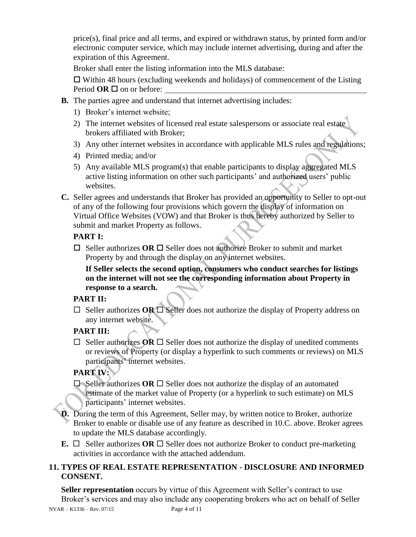price(s), final price and all terms, and expired or withdrawn status, by printed form and/or electronic computer service, which may include internet advertising, during and after the expiration of this Agreement.

Broker shall enter the listing information into the MLS database:

 $\Box$  Within 48 hours (excluding weekends and holidays) of commencement of the Listing Period  $OR \square$  on or before:

- **B.** The parties agree and understand that internet advertising includes:
	- 1) Broker's internet website;
	- 2) The internet websites of licensed real estate salespersons or associate real estate brokers affiliated with Broker;
	- 3) Any other internet websites in accordance with applicable MLS rules and regulations;
	- 4) Printed media; and/or
	- 5) Any available MLS program(s) that enable participants to display aggregated MLS active listing information on other such participants' and authorized users' public websites.
- **C.** Seller agrees and understands that Broker has provided an opportunity to Seller to opt-out of any of the following four provisions which govern the display of information on Virtual Office Websites (VOW) and that Broker is thus hereby authorized by Seller to submit and market Property as follows.

## **PART I:**

 $\Box$  Seller authorizes OR  $\Box$  Seller does not authorize Broker to submit and market Property by and through the display on any internet websites.

**If Seller selects the second option, consumers who conduct searches for listings on the internet will not see the corresponding information about Property in response to a search.**

# **PART II:**

 $\Box$  Seller authorizes **OR**  $\Box$  Seller does not authorize the display of Property address on any internet website.

# **PART III:**

 $\Box$  Seller authorizes OR  $\Box$  Seller does not authorize the display of unedited comments or reviews of Property (or display a hyperlink to such comments or reviews) on MLS participants' internet websites.

# **PART IV:**

- $\Box$  Seller authorizes **OR**  $\Box$  Seller does not authorize the display of an automated estimate of the market value of Property (or a hyperlink to such estimate) on MLS participants' internet websites.
- **D.** During the term of this Agreement, Seller may, by written notice to Broker, authorize Broker to enable or disable use of any feature as described in 10.C. above. Broker agrees to update the MLS database accordingly.
- **E.**  $\Box$  Seller authorizes **OR**  $\Box$  Seller does not authorize Broker to conduct pre-marketing activities in accordance with the attached addendum.

### **11. TYPES OF REAL ESTATE REPRESENTATION - DISCLOSURE AND INFORMED CONSENT.**

**Seller representation** occurs by virtue of this Agreement with Seller's contract to use Broker's services and may also include any cooperating brokers who act on behalf of Seller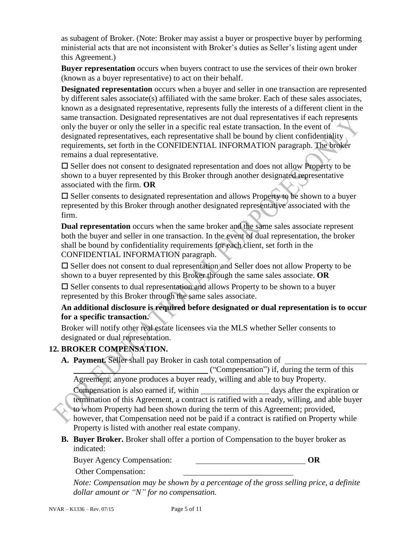as subagent of Broker. (Note: Broker may assist a buyer or prospective buyer by performing ministerial acts that are not inconsistent with Broker's duties as Seller's listing agent under this Agreement.)

**Buyer representation** occurs when buyers contract to use the services of their own broker (known as a buyer representative) to act on their behalf.

**Designated representation** occurs when a buyer and seller in one transaction are represented by different sales associate(s) affiliated with the same broker. Each of these sales associates, known as a designated representative, represents fully the interests of a different client in the same transaction. Designated representatives are not dual representatives if each represents only the buyer or only the seller in a specific real estate transaction. In the event of designated representatives, each representative shall be bound by client confidentiality requirements, set forth in the CONFIDENTIAL INFORMATION paragraph. The broker remains a dual representative.

 $\square$  Seller does not consent to designated representation and does not allow Property to be shown to a buyer represented by this Broker through another designated representative associated with the firm. **OR**

 $\square$  Seller consents to designated representation and allows Property to be shown to a buyer represented by this Broker through another designated representative associated with the firm.

**Dual representation** occurs when the same broker and the same sales associate represent both the buyer and seller in one transaction. In the event of dual representation, the broker shall be bound by confidentiality requirements for each client, set forth in the CONFIDENTIAL INFORMATION paragraph.

 $\square$  Seller does not consent to dual representation and Seller does not allow Property to be shown to a buyer represented by this Broker through the same sales associate. **OR**

 $\square$  Seller consents to dual representation and allows Property to be shown to a buyer represented by this Broker through the same sales associate.

### **An additional disclosure is required before designated or dual representation is to occur for a specific transaction.**

Broker will notify other real estate licensees via the MLS whether Seller consents to designated or dual representation.

### **12. BROKER COMPENSATION.**

**A. Payment.** Seller shall pay Broker in cash total compensation of

("Compensation") if, during the term of this Agreement, anyone produces a buyer ready, willing and able to buy Property.

Compensation is also earned if, within days after the expiration or termination of this Agreement, a contract is ratified with a ready, willing, and able buyer

to whom Property had been shown during the term of this Agreement; provided,

however, that Compensation need not be paid if a contract is ratified on Property while Property is listed with another real estate company.

**B. Buyer Broker.** Broker shall offer a portion of Compensation to the buyer broker as indicated:

Buyer Agency Compensation: **OR** 

Other Compensation:

*Note: Compensation may be shown by a percentage of the gross selling price, a definite dollar amount or "N" for no compensation.*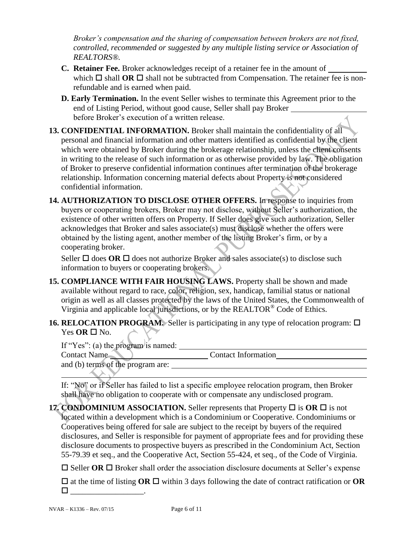*Broker's compensation and the sharing of compensation between brokers are not fixed, controlled, recommended or suggested by any multiple listing service or Association of REALTORS®.*

- **C. Retainer Fee.** Broker acknowledges receipt of a retainer fee in the amount of which  $\Box$  shall **OR**  $\Box$  shall not be subtracted from Compensation. The retainer fee is nonrefundable and is earned when paid.
- **D. Early Termination.** In the event Seller wishes to terminate this Agreement prior to the end of Listing Period, without good cause, Seller shall pay Broker before Broker's execution of a written release.
- **13. CONFIDENTIAL INFORMATION.** Broker shall maintain the confidentiality of all personal and financial information and other matters identified as confidential by the client which were obtained by Broker during the brokerage relationship, unless the client consents in writing to the release of such information or as otherwise provided by law. The obligation of Broker to preserve confidential information continues after termination of the brokerage relationship. Information concerning material defects about Property is not considered confidential information.
- **14. AUTHORIZATION TO DISCLOSE OTHER OFFERS.** In response to inquiries from buyers or cooperating brokers, Broker may not disclose, without Seller's authorization, the existence of other written offers on Property. If Seller does give such authorization, Seller acknowledges that Broker and sales associate(s) must disclose whether the offers were obtained by the listing agent, another member of the listing Broker's firm, or by a cooperating broker.

Seller  $\Box$  does **OR**  $\Box$  does not authorize Broker and sales associate(s) to disclose such information to buyers or cooperating brokers.

- **15. COMPLIANCE WITH FAIR HOUSING LAWS.** Property shall be shown and made available without regard to race, color, religion, sex, handicap, familial status or national origin as well as all classes protected by the laws of the United States, the Commonwealth of Virginia and applicable local jurisdictions, or by the REALTOR® Code of Ethics.
- **16. RELOCATION PROGRAM.** Seller is participating in any type of relocation program: □ Yes  $OR \square$  No.

If "Yes": (a) the program is named:

Contact Name Contact Information and (b) terms of the program are:  $\sim$   $\sim$   $\sim$   $\sim$   $\sim$ 

If: "No" or if Seller has failed to list a specific employee relocation program, then Broker shall have no obligation to cooperate with or compensate any undisclosed program.

**17. CONDOMINIUM ASSOCIATION.** Seller represents that Property  $\Box$  is  $\overline{OR}$   $\Box$  is not located within a development which is a Condominium or Cooperative. Condominiums or Cooperatives being offered for sale are subject to the receipt by buyers of the required disclosures, and Seller is responsible for payment of appropriate fees and for providing these disclosure documents to prospective buyers as prescribed in the Condominium Act, Section 55-79.39 et seq., and the Cooperative Act, Section 55-424, et seq., of the Code of Virginia.

 $\square$  Seller **OR**  $\square$  Broker shall order the association disclosure documents at Seller's expense

 $\Box$  at the time of listing **OR**  $\Box$  within 3 days following the date of contract ratification or **OR**  $\Box$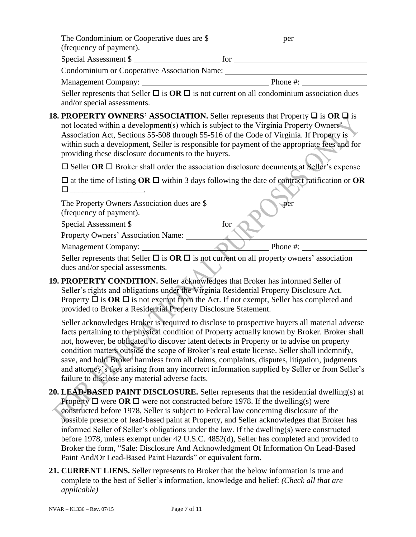| The Condominium or Cooperative dues are \$ |     | per |
|--------------------------------------------|-----|-----|
| (frequency of payment).                    |     |     |
| Special Assessment \$                      | tor |     |

Condominium or Cooperative Association Name:

Management Company: Phone #:

Seller represents that Seller  $\Box$  is  $OR \Box$  is not current on all condominium association dues and/or special assessments.

**18. PROPERTY OWNERS' ASSOCIATION.** Seller represents that Property  $\Box$  is OR  $\Box$  is not located within a development(s) which is subject to the Virginia Property Owners' Association Act, Sections 55-508 through 55-516 of the Code of Virginia. If Property is within such a development, Seller is responsible for payment of the appropriate fees and for providing these disclosure documents to the buyers.

 $\Box$  Seller **OR**  $\Box$  Broker shall order the association disclosure documents at Seller's expense

 $\Box$  at the time of listing **OR**  $\Box$  within 3 days following the date of contract ratification or **OR**  $\square$  \_\_\_\_\_\_\_\_\_\_\_\_\_\_\_\_\_\_\_\_\_\_\_.

| The Property Owners Association dues are \$ | per      |
|---------------------------------------------|----------|
| (frequency of payment).                     |          |
| Special Assessment \$                       | for      |
| Property Owners' Association Name:          |          |
| Management Company:                         | Phone #: |

Seller represents that Seller  $\Box$  is  $\overline{OR} \Box$  is not current on all property owners' association dues and/or special assessments.

**19. PROPERTY CONDITION.** Seller acknowledges that Broker has informed Seller of Seller's rights and obligations under the Virginia Residential Property Disclosure Act. Property  $\Box$  is  $OR \Box$  is not exempt from the Act. If not exempt, Seller has completed and provided to Broker a Residential Property Disclosure Statement.

Seller acknowledges Broker is required to disclose to prospective buyers all material adverse facts pertaining to the physical condition of Property actually known by Broker. Broker shall not, however, be obligated to discover latent defects in Property or to advise on property condition matters outside the scope of Broker's real estate license. Seller shall indemnify, save, and hold Broker harmless from all claims, complaints, disputes, litigation, judgments and attorney's fees arising from any incorrect information supplied by Seller or from Seller's failure to disclose any material adverse facts.

- **20. LEAD-BASED PAINT DISCLOSURE.** Seller represents that the residential dwelling(s) at Property  $\Box$  were **OR**  $\Box$  were not constructed before 1978. If the dwelling(s) were constructed before 1978, Seller is subject to Federal law concerning disclosure of the possible presence of lead-based paint at Property, and Seller acknowledges that Broker has informed Seller of Seller's obligations under the law. If the dwelling(s) were constructed before 1978, unless exempt under 42 U.S.C. 4852(d), Seller has completed and provided to Broker the form, "Sale: Disclosure And Acknowledgment Of Information On Lead-Based Paint And/Or Lead-Based Paint Hazards" or equivalent form.
- **21. CURRENT LIENS.** Seller represents to Broker that the below information is true and complete to the best of Seller's information, knowledge and belief: *(Check all that are applicable)*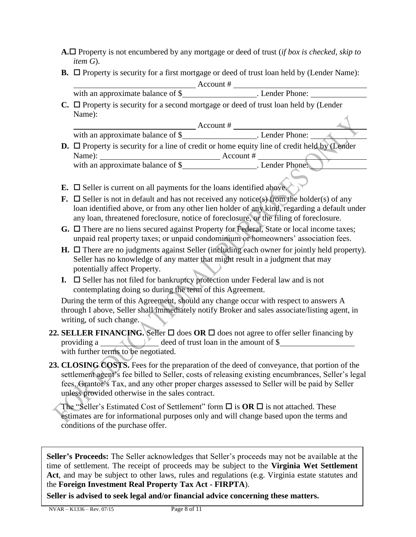**A.** Property is not encumbered by any mortgage or deed of trust (*if box is checked, skip to item G*).

**B.**  $\Box$  Property is security for a first mortgage or deed of trust loan held by (Lender Name):

| $\frac{1}{\sqrt{1-\frac{1}{2}}}\text{Account #}\_$                                                                                                                                                                                                                                                                                                                             |
|--------------------------------------------------------------------------------------------------------------------------------------------------------------------------------------------------------------------------------------------------------------------------------------------------------------------------------------------------------------------------------|
|                                                                                                                                                                                                                                                                                                                                                                                |
| $C. \Box$ Property is security for a second mortgage or deed of trust loan held by (Lender<br>Name):                                                                                                                                                                                                                                                                           |
| $\frac{1}{2}$ Account #                                                                                                                                                                                                                                                                                                                                                        |
|                                                                                                                                                                                                                                                                                                                                                                                |
| $D. \Box$ Property is security for a line of credit or home equity line of credit held by (Lender                                                                                                                                                                                                                                                                              |
|                                                                                                                                                                                                                                                                                                                                                                                |
| E. $\Box$ Seller is current on all payments for the loans identified above.<br><b>F.</b> $\Box$ Seller is not in default and has not received any notice(s) from the holder(s) of any<br>loan identified above, or from any other lien holder of any kind, regarding a default under<br>any loan, threatened foreclosure, notice of foreclosure, or the filing of foreclosure. |
| $G.$ $\Box$ There are no liens secured against Property for Federal, State or local income taxes;<br>unpaid real property taxes; or unpaid condominium or homeowners' association fees.                                                                                                                                                                                        |
| $H. \Box$ There are no judgments against Seller (including each owner for jointly held property).<br>Seller has no knowledge of any matter that might result in a judgment that may<br>potentially affect Property.                                                                                                                                                            |
| I. $\Box$ Seller has not filed for bankruptcy protection under Federal law and is not<br>contemplating doing so during the term of this Agreement.                                                                                                                                                                                                                             |
| During the term of this Agreement, should any change occur with respect to answers A<br>through I above, Seller shall immediately notify Broker and sales associate/listing agent, in<br>writing, of such change.                                                                                                                                                              |
| 22. SELLER FINANCING. Seller $\Box$ does OR $\Box$ does not agree to offer seller financing by<br>providing a $\qquad \qquad$ reed of trust loan in the amount of \$<br>with further terms to be negotiated.                                                                                                                                                                   |
| 23. CLOSING COSTS. Fees for the preparation of the deed of conveyance, that portion of the<br>settlement agent's fee billed to Seller, costs of releasing existing encumbrances, Seller's legal<br>fees, Grantor's Tax, and any other proper charges assessed to Seller will be paid by Seller<br>unless provided otherwise in the sales contract.                             |
| The "Seller's Estimated Cost of Settlement" form $\Box$ is OR $\Box$ is not attached. These<br>estimates are for informational purposes only and will change based upon the terms and<br>conditions of the purchase offer.                                                                                                                                                     |
| <b>Seller's Proceeds:</b> The Seller acknowledges that Seller's proceeds may not be available at the<br>time of settlement. The receipt of proceeds may be subject to the Virginia Wet Settlement                                                                                                                                                                              |

**Act**, and may be subject to other laws, rules and regulations (e.g. Virginia estate statutes and the **Foreign Investment Real Property Tax Act - FIRPTA**).

**Seller is advised to seek legal and/or financial advice concerning these matters.**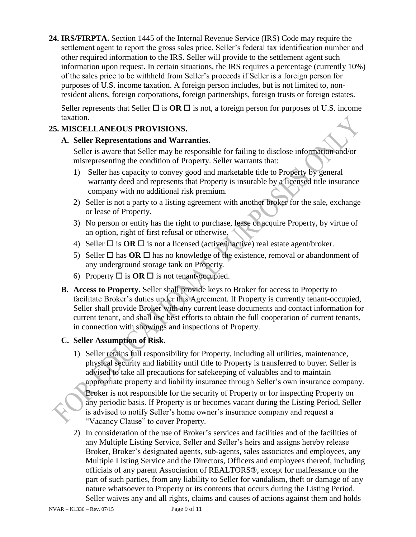**24. IRS/FIRPTA.** Section 1445 of the Internal Revenue Service (IRS) Code may require the settlement agent to report the gross sales price, Seller's federal tax identification number and other required information to the IRS. Seller will provide to the settlement agent such information upon request. In certain situations, the IRS requires a percentage (currently 10%) of the sales price to be withheld from Seller's proceeds if Seller is a foreign person for purposes of U.S. income taxation. A foreign person includes, but is not limited to, nonresident aliens, foreign corporations, foreign partnerships, foreign trusts or foreign estates.

Seller represents that Seller  $\Box$  is  $OR \Box$  is not, a foreign person for purposes of U.S. income taxation.

#### **25. MISCELLANEOUS PROVISIONS.**

#### **A. Seller Representations and Warranties.**

Seller is aware that Seller may be responsible for failing to disclose information and/or misrepresenting the condition of Property. Seller warrants that:

- 1) Seller has capacity to convey good and marketable title to Property by general warranty deed and represents that Property is insurable by a licensed title insurance company with no additional risk premium.
- 2) Seller is not a party to a listing agreement with another broker for the sale, exchange or lease of Property.
- 3) No person or entity has the right to purchase, lease or acquire Property, by virtue of an option, right of first refusal or otherwise.
- 4) Seller  $\Box$  is **OR**  $\Box$  is not a licensed (active/inactive) real estate agent/broker.
- 5) Seller  $\Box$  has **OR**  $\Box$  has no knowledge of the existence, removal or abandonment of any underground storage tank on Property.
- 6) Property  $\Box$  is  $\overline{OR}$   $\Box$  is not tenant-occupied.
- **B. Access to Property.** Seller shall provide keys to Broker for access to Property to facilitate Broker's duties under this Agreement. If Property is currently tenant-occupied, Seller shall provide Broker with any current lease documents and contact information for current tenant, and shall use best efforts to obtain the full cooperation of current tenants, in connection with showings and inspections of Property.

### **C. Seller Assumption of Risk.**

1) Seller retains full responsibility for Property, including all utilities, maintenance, physical security and liability until title to Property is transferred to buyer. Seller is advised to take all precautions for safekeeping of valuables and to maintain appropriate property and liability insurance through Seller's own insurance company. Broker is not responsible for the security of Property or for inspecting Property on

any periodic basis. If Property is or becomes vacant during the Listing Period, Seller is advised to notify Seller's home owner's insurance company and request a "Vacancy Clause" to cover Property.

2) In consideration of the use of Broker's services and facilities and of the facilities of any Multiple Listing Service, Seller and Seller's heirs and assigns hereby release Broker, Broker's designated agents, sub-agents, sales associates and employees, any Multiple Listing Service and the Directors, Officers and employees thereof, including officials of any parent Association of REALTORS®, except for malfeasance on the part of such parties, from any liability to Seller for vandalism, theft or damage of any nature whatsoever to Property or its contents that occurs during the Listing Period. Seller waives any and all rights, claims and causes of actions against them and holds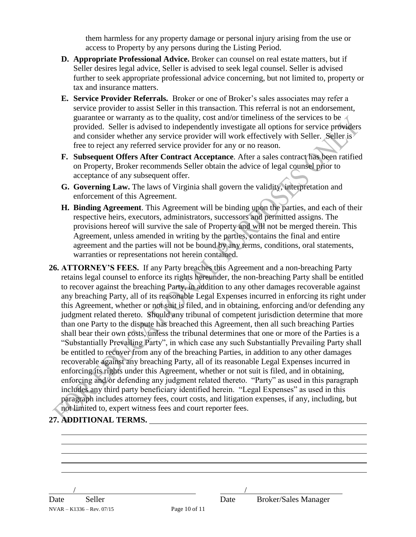them harmless for any property damage or personal injury arising from the use or access to Property by any persons during the Listing Period.

- **D. Appropriate Professional Advice.** Broker can counsel on real estate matters, but if Seller desires legal advice, Seller is advised to seek legal counsel. Seller is advised further to seek appropriate professional advice concerning, but not limited to, property or tax and insurance matters.
- **E. Service Provider Referrals.** Broker or one of Broker's sales associates may refer a service provider to assist Seller in this transaction. This referral is not an endorsement, guarantee or warranty as to the quality, cost and/or timeliness of the services to be provided. Seller is advised to independently investigate all options for service providers and consider whether any service provider will work effectively with Seller. Seller is free to reject any referred service provider for any or no reason.
- **F. Subsequent Offers After Contract Acceptance**. After a sales contract has been ratified on Property, Broker recommends Seller obtain the advice of legal counsel prior to acceptance of any subsequent offer.
- **G. Governing Law.** The laws of Virginia shall govern the validity, interpretation and enforcement of this Agreement.
- **H. Binding Agreement**. This Agreement will be binding upon the parties, and each of their respective heirs, executors, administrators, successors and permitted assigns. The provisions hereof will survive the sale of Property and will not be merged therein. This Agreement, unless amended in writing by the parties, contains the final and entire agreement and the parties will not be bound by any terms, conditions, oral statements, warranties or representations not herein contained.
- **26. ATTORNEY'S FEES.** If any Party breaches this Agreement and a non-breaching Party retains legal counsel to enforce its rights hereunder, the non-breaching Party shall be entitled to recover against the breaching Party, in addition to any other damages recoverable against any breaching Party, all of its reasonable Legal Expenses incurred in enforcing its right under this Agreement, whether or not suit is filed, and in obtaining, enforcing and/or defending any judgment related thereto. Should any tribunal of competent jurisdiction determine that more than one Party to the dispute has breached this Agreement, then all such breaching Parties shall bear their own costs, unless the tribunal determines that one or more of the Parties is a "Substantially Prevailing Party", in which case any such Substantially Prevailing Party shall be entitled to recover from any of the breaching Parties, in addition to any other damages recoverable against any breaching Party, all of its reasonable Legal Expenses incurred in enforcing its rights under this Agreement, whether or not suit is filed, and in obtaining, enforcing and/or defending any judgment related thereto. "Party" as used in this paragraph includes any third party beneficiary identified herein. "Legal Expenses" as used in this paragraph includes attorney fees, court costs, and litigation expenses, if any, including, but not limited to, expert witness fees and court reporter fees.

#### **27. ADDITIONAL TERMS.**

NVAR – K1336 – Rev. 07/15 Page 10 of 11 / /

Date Seller Seller Date Broker/Sales Manager